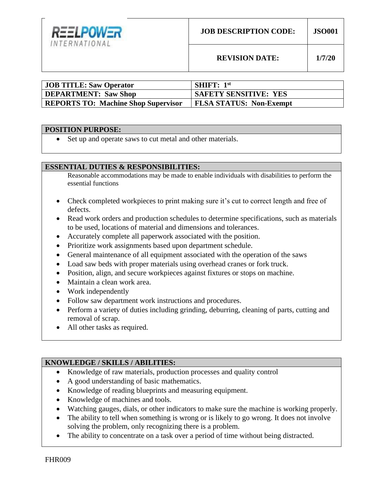

**REVISION DATE: 1/7/20**

| <b>JOB TITLE: Saw Operator</b>             | <b>SHIFT:</b> $1st$            |
|--------------------------------------------|--------------------------------|
| DEPARTMENT: Saw Shop                       | <b>SAFETY SENSITIVE: YES</b>   |
| <b>REPORTS TO: Machine Shop Supervisor</b> | <b>FLSA STATUS: Non-Exempt</b> |

#### **POSITION PURPOSE:**

Set up and operate saws to cut metal and other materials.

## **ESSENTIAL DUTIES & RESPONSIBILITIES:**

Reasonable accommodations may be made to enable individuals with disabilities to perform the essential functions

- Check completed workpieces to print making sure it's cut to correct length and free of defects.
- Read work orders and production schedules to determine specifications, such as materials to be used, locations of material and dimensions and tolerances.
- Accurately complete all paperwork associated with the position.
- Prioritize work assignments based upon department schedule.
- General maintenance of all equipment associated with the operation of the saws
- Load saw beds with proper materials using overhead cranes or fork truck.
- Position, align, and secure workpieces against fixtures or stops on machine.
- Maintain a clean work area.
- Work independently
- Follow saw department work instructions and procedures.
- Perform a variety of duties including grinding, deburring, cleaning of parts, cutting and removal of scrap.
- All other tasks as required.

# **KNOWLEDGE / SKILLS / ABILITIES:**

- Knowledge of raw materials, production processes and quality control
- A good understanding of basic mathematics.
- Knowledge of reading blueprints and measuring equipment.
- Knowledge of machines and tools.
- Watching gauges, dials, or other indicators to make sure the machine is working properly.
- The ability to tell when something is wrong or is likely to go wrong. It does not involve solving the problem, only recognizing there is a problem.
- The ability to concentrate on a task over a period of time without being distracted.